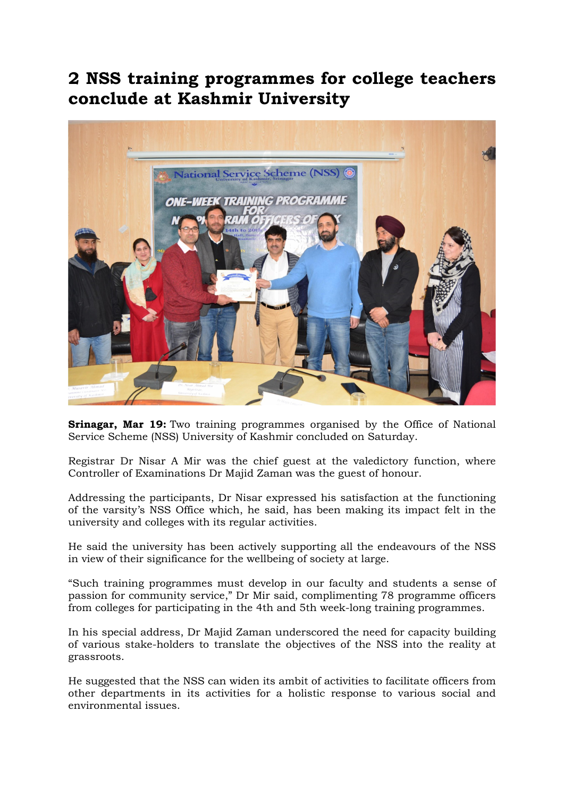## 2 NSS training programmes for college teachers conclude at Kashmir University



**Srinagar, Mar 19:** Two training programmes organised by the Office of National Service Scheme (NSS) University of Kashmir concluded on Saturday.

Registrar Dr Nisar A Mir was the chief guest at the valedictory function, where Controller of Examinations Dr Majid Zaman was the guest of honour.

Addressing the participants, Dr Nisar expressed his satisfaction at the functioning of the varsity's NSS Office which, he said, has been making its impact felt in the university and colleges with its regular activities.

He said the university has been actively supporting all the endeavours of the NSS in view of their significance for the wellbeing of society at large.

"Such training programmes must develop in our faculty and students a sense of passion for community service," Dr Mir said, complimenting 78 programme officers from colleges for participating in the 4th and 5th week-long training programmes.

In his special address, Dr Majid Zaman underscored the need for capacity building of various stake-holders to translate the objectives of the NSS into the reality at grassroots.

He suggested that the NSS can widen its ambit of activities to facilitate officers from other departments in its activities for a holistic response to various social and environmental issues.